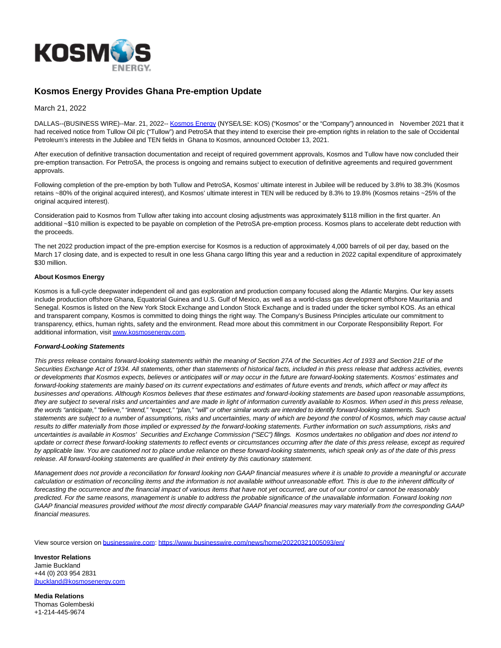

## **Kosmos Energy Provides Ghana Pre-emption Update**

March 21, 2022

DALLAS--(BUSINESS WIRE)--Mar. 21, 2022-- [Kosmos Energy \(](https://cts.businesswire.com/ct/CT?id=smartlink&url=http%3A%2F%2Fwww.kosmosenergy.com%2F&esheet=52605081&newsitemid=20220321005093&lan=en-US&anchor=Kosmos+Energy&index=1&md5=770a0589b2bdb59919e25c91370c00a4)NYSE/LSE: KOS) ("Kosmos" or the "Company") announced in November 2021 that it had received notice from Tullow Oil plc ("Tullow") and PetroSA that they intend to exercise their pre-emption rights in relation to the sale of Occidental Petroleum's interests in the Jubilee and TEN fields in Ghana to Kosmos, announced October 13, 2021.

After execution of definitive transaction documentation and receipt of required government approvals, Kosmos and Tullow have now concluded their pre-emption transaction. For PetroSA, the process is ongoing and remains subject to execution of definitive agreements and required government approvals.

Following completion of the pre-emption by both Tullow and PetroSA, Kosmos' ultimate interest in Jubilee will be reduced by 3.8% to 38.3% (Kosmos retains ~80% of the original acquired interest), and Kosmos' ultimate interest in TEN will be reduced by 8.3% to 19.8% (Kosmos retains ~25% of the original acquired interest).

Consideration paid to Kosmos from Tullow after taking into account closing adjustments was approximately \$118 million in the first quarter. An additional ~\$10 million is expected to be payable on completion of the PetroSA pre-emption process. Kosmos plans to accelerate debt reduction with the proceeds.

The net 2022 production impact of the pre-emption exercise for Kosmos is a reduction of approximately 4,000 barrels of oil per day, based on the March 17 closing date, and is expected to result in one less Ghana cargo lifting this year and a reduction in 2022 capital expenditure of approximately \$30 million.

## **About Kosmos Energy**

Kosmos is a full-cycle deepwater independent oil and gas exploration and production company focused along the Atlantic Margins. Our key assets include production offshore Ghana, Equatorial Guinea and U.S. Gulf of Mexico, as well as a world-class gas development offshore Mauritania and Senegal. Kosmos is listed on the New York Stock Exchange and London Stock Exchange and is traded under the ticker symbol KOS. As an ethical and transparent company, Kosmos is committed to doing things the right way. The Company's Business Principles articulate our commitment to transparency, ethics, human rights, safety and the environment. Read more about this commitment in our Corporate Responsibility Report. For additional information, visit [www.kosmosenergy.com.](https://cts.businesswire.com/ct/CT?id=smartlink&url=http%3A%2F%2Fwww.kosmosenergy.com&esheet=52605081&newsitemid=20220321005093&lan=en-US&anchor=www.kosmosenergy.com&index=2&md5=897e451f5550948ce70ac1bf9f90c278)

## **Forward-Looking Statements**

This press release contains forward-looking statements within the meaning of Section 27A of the Securities Act of 1933 and Section 21E of the Securities Exchange Act of 1934. All statements, other than statements of historical facts, included in this press release that address activities, events or developments that Kosmos expects, believes or anticipates will or may occur in the future are forward-looking statements. Kosmos' estimates and forward-looking statements are mainly based on its current expectations and estimates of future events and trends, which affect or may affect its businesses and operations. Although Kosmos believes that these estimates and forward-looking statements are based upon reasonable assumptions, they are subject to several risks and uncertainties and are made in light of information currently available to Kosmos. When used in this press release, the words "anticipate," "believe," "intend," "expect," "plan," "will" or other similar words are intended to identify forward-looking statements. Such statements are subject to a number of assumptions, risks and uncertainties, many of which are beyond the control of Kosmos, which may cause actual results to differ materially from those implied or expressed by the forward-looking statements. Further information on such assumptions, risks and uncertainties is available in Kosmos' Securities and Exchange Commission ("SEC") filings. Kosmos undertakes no obligation and does not intend to update or correct these forward-looking statements to reflect events or circumstances occurring after the date of this press release, except as required by applicable law. You are cautioned not to place undue reliance on these forward-looking statements, which speak only as of the date of this press release. All forward-looking statements are qualified in their entirety by this cautionary statement.

Management does not provide a reconciliation for forward looking non GAAP financial measures where it is unable to provide a meaningful or accurate calculation or estimation of reconciling items and the information is not available without unreasonable effort. This is due to the inherent difficulty of forecasting the occurrence and the financial impact of various items that have not yet occurred, are out of our control or cannot be reasonably predicted. For the same reasons, management is unable to address the probable significance of the unavailable information. Forward looking non GAAP financial measures provided without the most directly comparable GAAP financial measures may vary materially from the corresponding GAAP financial measures.

View source version on [businesswire.com:](http://businesswire.com/)<https://www.businesswire.com/news/home/20220321005093/en/>

**Investor Relations** Jamie Buckland +44 (0) 203 954 2831 [jbuckland@kosmosenergy.com](mailto:jbuckland@kosmosenergy.com)

**Media Relations** Thomas Golembeski +1-214-445-9674